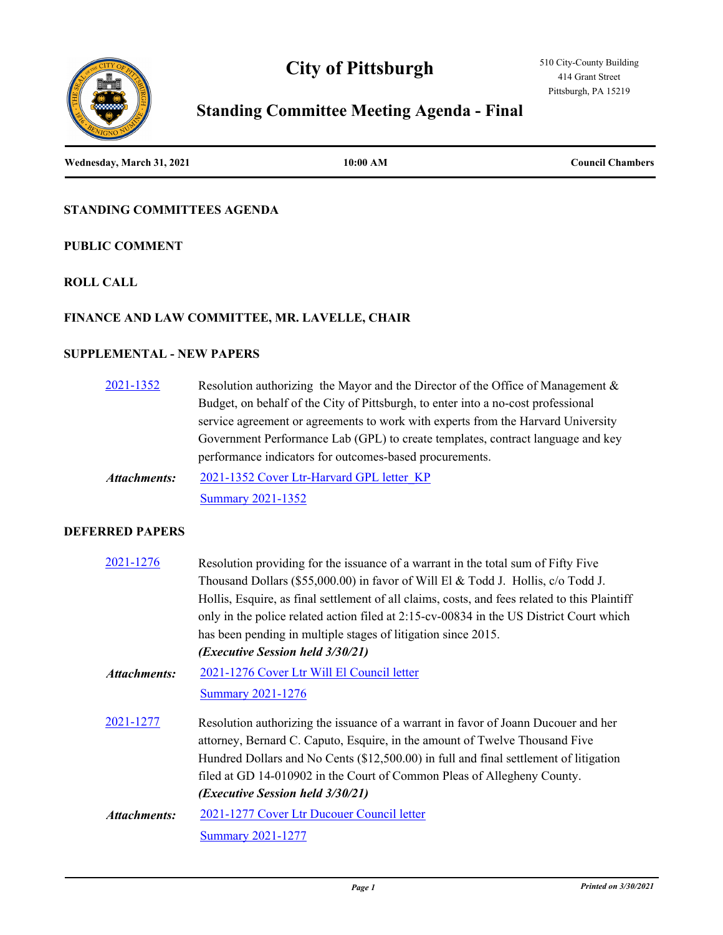# **City of Pittsburgh**





# **Standing Committee Meeting Agenda - Final**

**Wednesday, March 31, 2021 10:00 AM Council Chambers**

## **STANDING COMMITTEES AGENDA**

## **PUBLIC COMMENT**

## **ROLL CALL**

## **FINANCE AND LAW COMMITTEE, MR. LAVELLE, CHAIR**

## **SUPPLEMENTAL - NEW PAPERS**

| $2021 - 1352$ | Resolution authorizing the Mayor and the Director of the Office of Management $\&$ |
|---------------|------------------------------------------------------------------------------------|
|               | Budget, on behalf of the City of Pittsburgh, to enter into a no-cost professional  |
|               | service agreement or agreements to work with experts from the Harvard University   |
|               | Government Performance Lab (GPL) to create templates, contract language and key    |
|               | performance indicators for outcomes-based procurements.                            |
| Attachments:  | 2021-1352 Cover Ltr-Harvard GPL letter KP                                          |
|               | <b>Summary 2021-1352</b>                                                           |

#### **DEFERRED PAPERS**

| 2021-1276           | Resolution providing for the issuance of a warrant in the total sum of Fifty Five<br>Thousand Dollars (\$55,000.00) in favor of Will El & Todd J. Hollis, c/o Todd J.<br>Hollis, Esquire, as final settlement of all claims, costs, and fees related to this Plaintiff                                                                                                             |
|---------------------|------------------------------------------------------------------------------------------------------------------------------------------------------------------------------------------------------------------------------------------------------------------------------------------------------------------------------------------------------------------------------------|
|                     | only in the police related action filed at 2:15-cv-00834 in the US District Court which<br>has been pending in multiple stages of litigation since 2015.<br>( <i>Executive Session held 3/30/21</i> )                                                                                                                                                                              |
| <b>Attachments:</b> | 2021-1276 Cover Ltr Will El Council letter<br><b>Summary 2021-1276</b>                                                                                                                                                                                                                                                                                                             |
| 2021-1277           | Resolution authorizing the issuance of a warrant in favor of Joann Ducouer and her<br>attorney, Bernard C. Caputo, Esquire, in the amount of Twelve Thousand Five<br>Hundred Dollars and No Cents (\$12,500.00) in full and final settlement of litigation<br>filed at GD 14-010902 in the Court of Common Pleas of Allegheny County.<br>( <i>Executive Session held 3/30/21</i> ) |
| Attachments:        | 2021-1277 Cover Ltr Ducouer Council letter<br><b>Summary 2021-1277</b>                                                                                                                                                                                                                                                                                                             |
|                     |                                                                                                                                                                                                                                                                                                                                                                                    |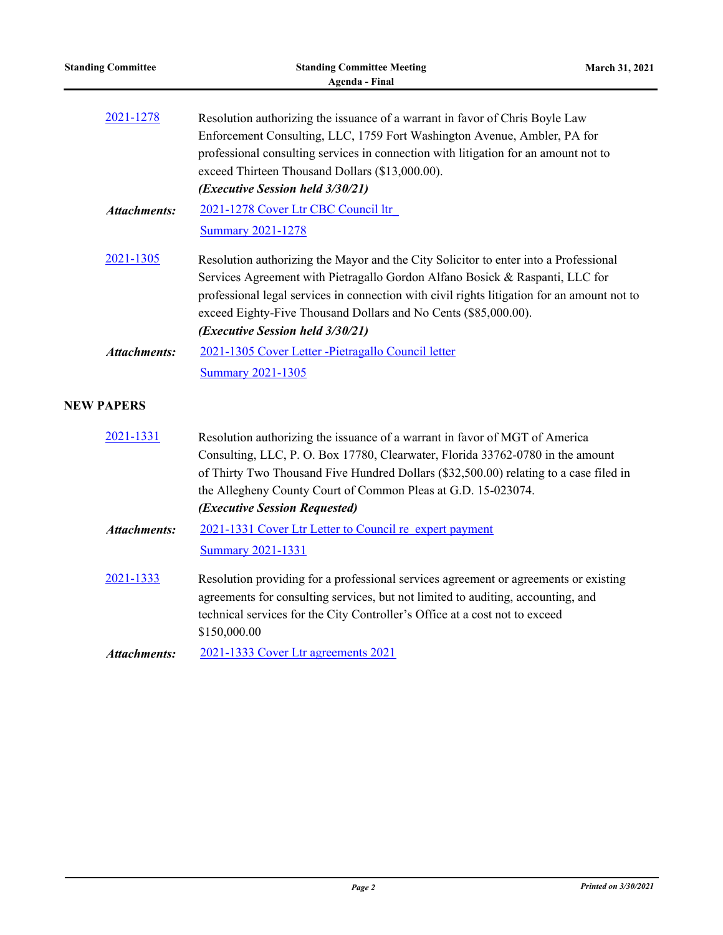| <b>Standing Committee</b> | <b>Standing Committee Meeting</b><br><b>Agenda - Final</b>                                                                                                                                                                                                                                                                                                                 | March 31, 2021 |
|---------------------------|----------------------------------------------------------------------------------------------------------------------------------------------------------------------------------------------------------------------------------------------------------------------------------------------------------------------------------------------------------------------------|----------------|
| 2021-1278                 | Resolution authorizing the issuance of a warrant in favor of Chris Boyle Law<br>Enforcement Consulting, LLC, 1759 Fort Washington Avenue, Ambler, PA for<br>professional consulting services in connection with litigation for an amount not to<br>exceed Thirteen Thousand Dollars (\$13,000.00).<br>(Executive Session held 3/30/21)                                     |                |
| <b>Attachments:</b>       | 2021-1278 Cover Ltr CBC Council ltr<br><b>Summary 2021-1278</b>                                                                                                                                                                                                                                                                                                            |                |
| 2021-1305                 | Resolution authorizing the Mayor and the City Solicitor to enter into a Professional<br>Services Agreement with Pietragallo Gordon Alfano Bosick & Raspanti, LLC for<br>professional legal services in connection with civil rights litigation for an amount not to<br>exceed Eighty-Five Thousand Dollars and No Cents (\$85,000.00).<br>(Executive Session held 3/30/21) |                |
| <b>Attachments:</b>       | 2021-1305 Cover Letter - Pietragallo Council letter<br><b>Summary 2021-1305</b>                                                                                                                                                                                                                                                                                            |                |
| <b>NEW PAPERS</b>         |                                                                                                                                                                                                                                                                                                                                                                            |                |
| 2021-1331                 | Resolution authorizing the issuance of a warrant in favor of MGT of America<br>Consulting, LLC, P. O. Box 17780, Clearwater, Florida 33762-0780 in the amount<br>of Thirty Two Thousand Five Hundred Dollars (\$32,500.00) relating to a case filed in<br>the Allegheny County Court of Common Pleas at G.D. 15-023074.<br>(Executive Session Requested)                   |                |
| <b>Attachments:</b>       | 2021-1331 Cover Ltr Letter to Council re expert payment                                                                                                                                                                                                                                                                                                                    |                |
|                           | <b>Summary 2021-1331</b>                                                                                                                                                                                                                                                                                                                                                   |                |
| 2021-1333                 | Resolution providing for a professional services agreement or agreements or existing<br>agreements for consulting services, but not limited to auditing, accounting, and<br>technical services for the City Controller's Office at a cost not to exceed<br>\$150,000.00                                                                                                    |                |
| <b>Attachments:</b>       | 2021-1333 Cover Ltr agreements 2021                                                                                                                                                                                                                                                                                                                                        |                |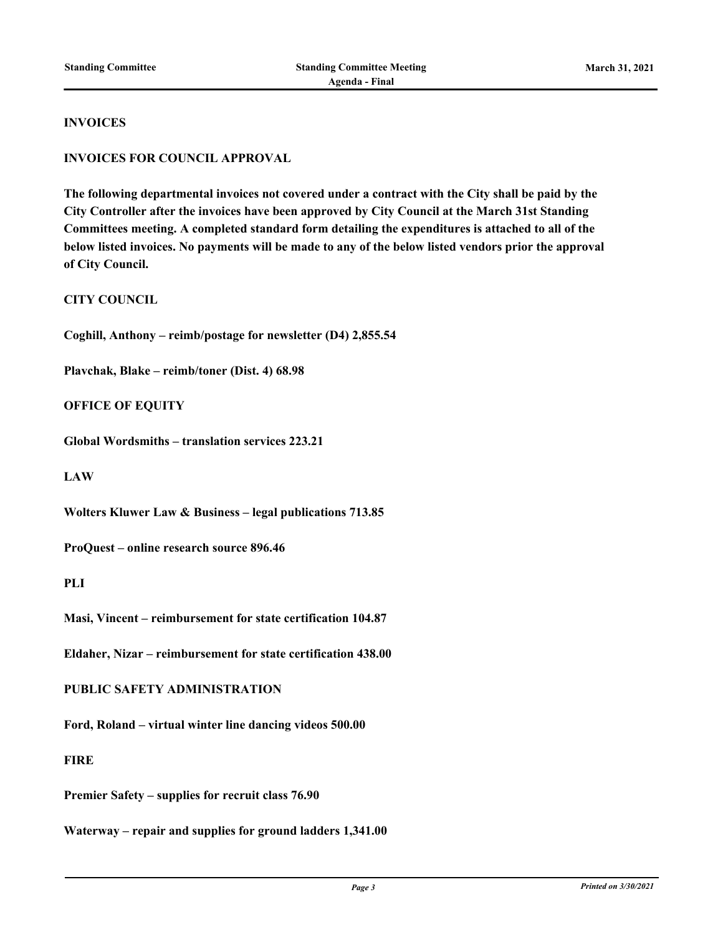#### **INVOICES**

#### **INVOICES FOR COUNCIL APPROVAL**

**The following departmental invoices not covered under a contract with the City shall be paid by the City Controller after the invoices have been approved by City Council at the March 31st Standing Committees meeting. A completed standard form detailing the expenditures is attached to all of the below listed invoices. No payments will be made to any of the below listed vendors prior the approval of City Council.**

**CITY COUNCIL**

**Coghill, Anthony – reimb/postage for newsletter (D4) 2,855.54**

**Plavchak, Blake – reimb/toner (Dist. 4) 68.98**

**OFFICE OF EQUITY**

**Global Wordsmiths – translation services 223.21**

**LAW**

**Wolters Kluwer Law & Business – legal publications 713.85**

**ProQuest – online research source 896.46**

**PLI**

**Masi, Vincent – reimbursement for state certification 104.87**

**Eldaher, Nizar – reimbursement for state certification 438.00**

**PUBLIC SAFETY ADMINISTRATION**

**Ford, Roland – virtual winter line dancing videos 500.00**

**FIRE**

**Premier Safety – supplies for recruit class 76.90**

**Waterway – repair and supplies for ground ladders 1,341.00**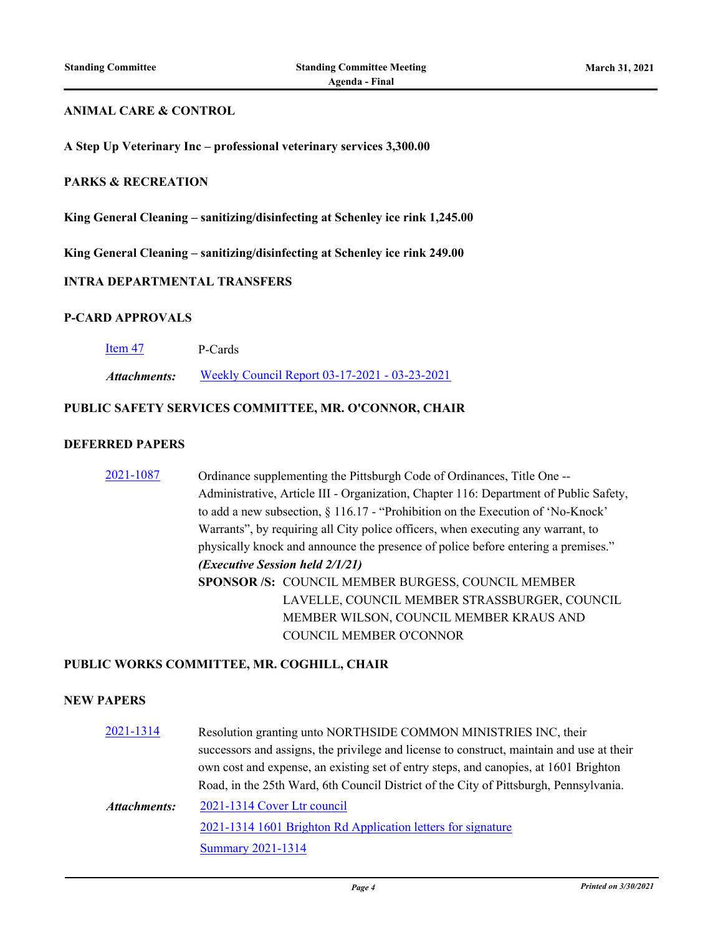#### **ANIMAL CARE & CONTROL**

**A Step Up Veterinary Inc – professional veterinary services 3,300.00**

### **PARKS & RECREATION**

**King General Cleaning – sanitizing/disinfecting at Schenley ice rink 1,245.00**

**King General Cleaning – sanitizing/disinfecting at Schenley ice rink 249.00**

#### **INTRA DEPARTMENTAL TRANSFERS**

#### **P-CARD APPROVALS**

| Item 47 | P-Cards |
|---------|---------|
|         |         |

*Attachments:* [Weekly Council Report 03-17-2021 - 03-23-2021](http://pittsburgh.legistar.com/gateway.aspx?M=F&ID=08cb9b9d-ea03-4d27-bd91-b5f3f91bd442.pdf)

#### **PUBLIC SAFETY SERVICES COMMITTEE, MR. O'CONNOR, CHAIR**

#### **DEFERRED PAPERS**

[2021-1087](http://pittsburgh.legistar.com/gateway.aspx?m=l&id=/matter.aspx?key=25915) Ordinance supplementing the Pittsburgh Code of Ordinances, Title One -- Administrative, Article III - Organization, Chapter 116: Department of Public Safety, to add a new subsection, § 116.17 - "Prohibition on the Execution of 'No-Knock' Warrants", by requiring all City police officers, when executing any warrant, to physically knock and announce the presence of police before entering a premises." *(Executive Session held 2/1/21)* **SPONSOR /S:** COUNCIL MEMBER BURGESS, COUNCIL MEMBER LAVELLE, COUNCIL MEMBER STRASSBURGER, COUNCIL MEMBER WILSON, COUNCIL MEMBER KRAUS AND COUNCIL MEMBER O'CONNOR

#### **PUBLIC WORKS COMMITTEE, MR. COGHILL, CHAIR**

### **NEW PAPERS**

[2021-1314](http://pittsburgh.legistar.com/gateway.aspx?m=l&id=/matter.aspx?key=26152) Resolution granting unto NORTHSIDE COMMON MINISTRIES INC, their successors and assigns, the privilege and license to construct, maintain and use at their own cost and expense, an existing set of entry steps, and canopies, at 1601 Brighton Road, in the 25th Ward, 6th Council District of the City of Pittsburgh, Pennsylvania. [2021-1314 Cover Ltr council](http://pittsburgh.legistar.com/gateway.aspx?M=F&ID=602357d7-4639-4861-a9da-c0421b599ea3.docx) [2021-1314 1601 Brighton Rd Application letters for signature](http://pittsburgh.legistar.com/gateway.aspx?M=F&ID=aa4e2fde-bdab-48ed-909b-0631c1496e00.pdf) [Summary 2021-1314](http://pittsburgh.legistar.com/gateway.aspx?M=F&ID=28862a58-d1d0-4f0f-9af6-cf2d0fd87a31.docx) *Attachments:*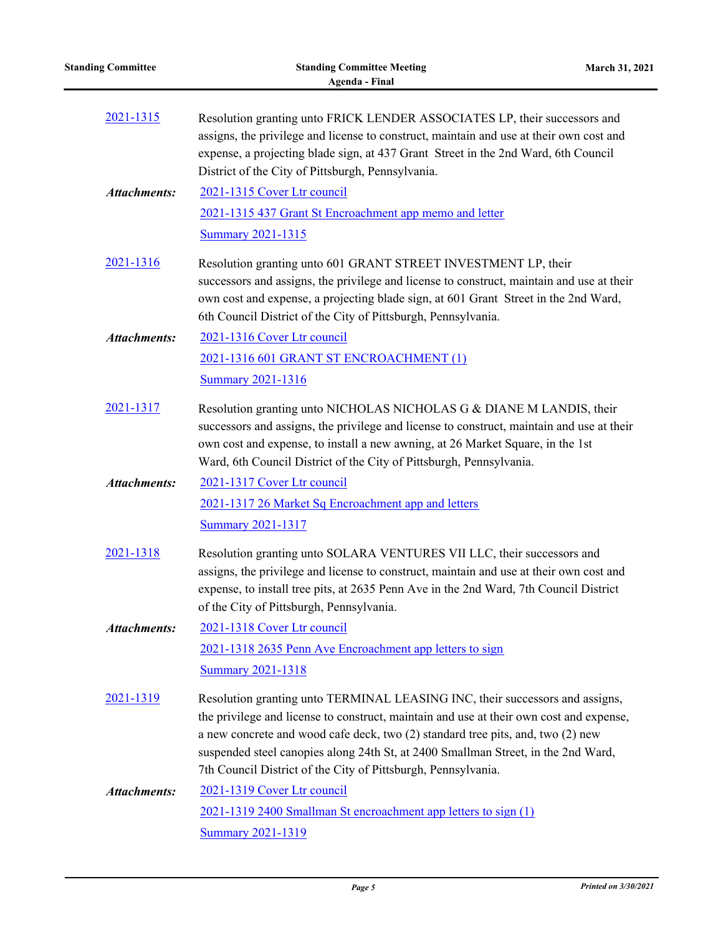| <b>Standing Committee</b> | <b>Standing Committee Meeting</b><br><b>Agenda - Final</b>                                                                                                                                                                                                                                                                                                                                                       | March 31, 2021 |
|---------------------------|------------------------------------------------------------------------------------------------------------------------------------------------------------------------------------------------------------------------------------------------------------------------------------------------------------------------------------------------------------------------------------------------------------------|----------------|
| 2021-1315                 | Resolution granting unto FRICK LENDER ASSOCIATES LP, their successors and<br>assigns, the privilege and license to construct, maintain and use at their own cost and<br>expense, a projecting blade sign, at 437 Grant Street in the 2nd Ward, 6th Council<br>District of the City of Pittsburgh, Pennsylvania.                                                                                                  |                |
| <b>Attachments:</b>       | 2021-1315 Cover Ltr council<br>2021-1315 437 Grant St Encroachment app memo and letter<br><b>Summary 2021-1315</b>                                                                                                                                                                                                                                                                                               |                |
| 2021-1316                 | Resolution granting unto 601 GRANT STREET INVESTMENT LP, their<br>successors and assigns, the privilege and license to construct, maintain and use at their<br>own cost and expense, a projecting blade sign, at 601 Grant Street in the 2nd Ward,<br>6th Council District of the City of Pittsburgh, Pennsylvania.                                                                                              |                |
| <b>Attachments:</b>       | 2021-1316 Cover Ltr council<br>2021-1316 601 GRANT ST ENCROACHMENT (1)<br><b>Summary 2021-1316</b>                                                                                                                                                                                                                                                                                                               |                |
| 2021-1317                 | Resolution granting unto NICHOLAS NICHOLAS G & DIANE M LANDIS, their<br>successors and assigns, the privilege and license to construct, maintain and use at their<br>own cost and expense, to install a new awning, at 26 Market Square, in the 1st<br>Ward, 6th Council District of the City of Pittsburgh, Pennsylvania.                                                                                       |                |
| <b>Attachments:</b>       | 2021-1317 Cover Ltr council<br>2021-1317 26 Market Sq Encroachment app and letters<br><b>Summary 2021-1317</b>                                                                                                                                                                                                                                                                                                   |                |
| 2021-1318                 | Resolution granting unto SOLARA VENTURES VII LLC, their successors and<br>assigns, the privilege and license to construct, maintain and use at their own cost and<br>expense, to install tree pits, at 2635 Penn Ave in the 2nd Ward, 7th Council District<br>of the City of Pittsburgh, Pennsylvania.                                                                                                           |                |
| <b>Attachments:</b>       | 2021-1318 Cover Ltr council<br>2021-1318 2635 Penn Ave Encroachment app letters to sign<br><b>Summary 2021-1318</b>                                                                                                                                                                                                                                                                                              |                |
| 2021-1319                 | Resolution granting unto TERMINAL LEASING INC, their successors and assigns,<br>the privilege and license to construct, maintain and use at their own cost and expense,<br>a new concrete and wood cafe deck, two (2) standard tree pits, and, two (2) new<br>suspended steel canopies along 24th St, at 2400 Smallman Street, in the 2nd Ward,<br>7th Council District of the City of Pittsburgh, Pennsylvania. |                |
| <b>Attachments:</b>       | 2021-1319 Cover Ltr council<br>2021-1319 2400 Smallman St encroachment app letters to sign (1)<br><b>Summary 2021-1319</b>                                                                                                                                                                                                                                                                                       |                |

i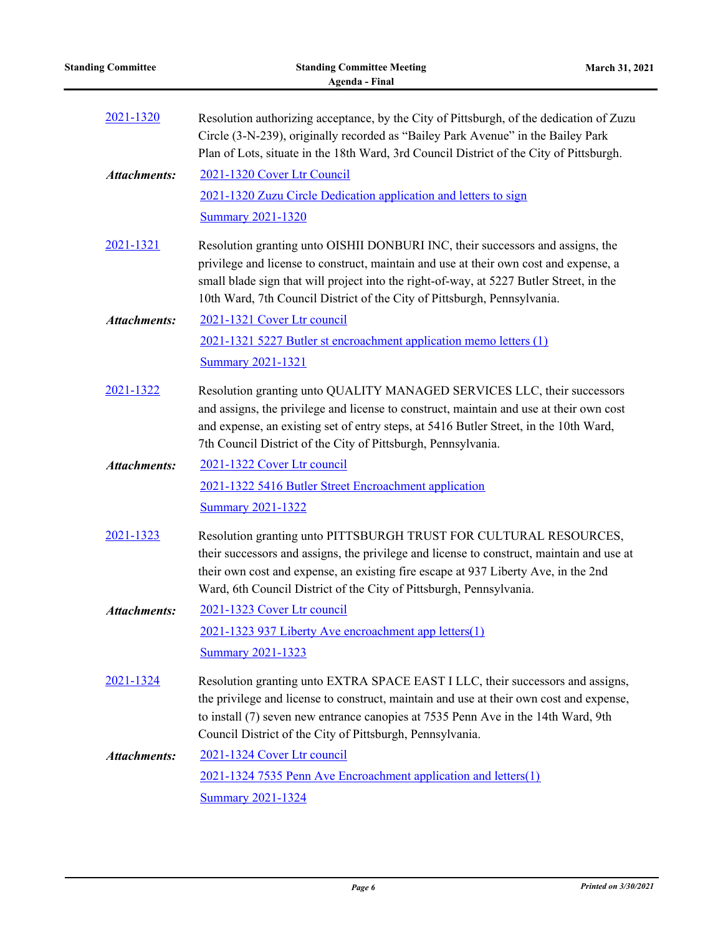| <b>Standing Committee</b> | <b>Standing Committee Meeting</b><br><b>Agenda - Final</b>                                                                                                                                                                                                                                                                                     | March 31, 2021 |
|---------------------------|------------------------------------------------------------------------------------------------------------------------------------------------------------------------------------------------------------------------------------------------------------------------------------------------------------------------------------------------|----------------|
| 2021-1320                 | Resolution authorizing acceptance, by the City of Pittsburgh, of the dedication of Zuzu<br>Circle (3-N-239), originally recorded as "Bailey Park Avenue" in the Bailey Park<br>Plan of Lots, situate in the 18th Ward, 3rd Council District of the City of Pittsburgh.                                                                         |                |
| <b>Attachments:</b>       | 2021-1320 Cover Ltr Council                                                                                                                                                                                                                                                                                                                    |                |
|                           | 2021-1320 Zuzu Circle Dedication application and letters to sign                                                                                                                                                                                                                                                                               |                |
|                           | <b>Summary 2021-1320</b>                                                                                                                                                                                                                                                                                                                       |                |
| 2021-1321                 | Resolution granting unto OISHII DONBURI INC, their successors and assigns, the<br>privilege and license to construct, maintain and use at their own cost and expense, a<br>small blade sign that will project into the right-of-way, at 5227 Butler Street, in the<br>10th Ward, 7th Council District of the City of Pittsburgh, Pennsylvania. |                |
| <b>Attachments:</b>       | 2021-1321 Cover Ltr council                                                                                                                                                                                                                                                                                                                    |                |
|                           | 2021-1321 5227 Butler st encroachment application memo letters (1)                                                                                                                                                                                                                                                                             |                |
|                           | <b>Summary 2021-1321</b>                                                                                                                                                                                                                                                                                                                       |                |
| 2021-1322                 | Resolution granting unto QUALITY MANAGED SERVICES LLC, their successors<br>and assigns, the privilege and license to construct, maintain and use at their own cost<br>and expense, an existing set of entry steps, at 5416 Butler Street, in the 10th Ward,<br>7th Council District of the City of Pittsburgh, Pennsylvania.                   |                |
| <b>Attachments:</b>       | 2021-1322 Cover Ltr council                                                                                                                                                                                                                                                                                                                    |                |
|                           | 2021-1322 5416 Butler Street Encroachment application                                                                                                                                                                                                                                                                                          |                |
|                           | <b>Summary 2021-1322</b>                                                                                                                                                                                                                                                                                                                       |                |
| 2021-1323                 | Resolution granting unto PITTSBURGH TRUST FOR CULTURAL RESOURCES,<br>their successors and assigns, the privilege and license to construct, maintain and use at<br>their own cost and expense, an existing fire escape at 937 Liberty Ave, in the 2nd<br>Ward, 6th Council District of the City of Pittsburgh, Pennsylvania.                    |                |
| <b>Attachments:</b>       | 2021-1323 Cover Ltr council                                                                                                                                                                                                                                                                                                                    |                |
|                           | 2021-1323 937 Liberty Ave encroachment app letters(1)                                                                                                                                                                                                                                                                                          |                |
|                           | Summary 2021-1323                                                                                                                                                                                                                                                                                                                              |                |
| 2021-1324                 | Resolution granting unto EXTRA SPACE EAST I LLC, their successors and assigns,<br>the privilege and license to construct, maintain and use at their own cost and expense,<br>to install (7) seven new entrance canopies at 7535 Penn Ave in the 14th Ward, 9th<br>Council District of the City of Pittsburgh, Pennsylvania.                    |                |
| <b>Attachments:</b>       | 2021-1324 Cover Ltr council                                                                                                                                                                                                                                                                                                                    |                |
|                           | 2021-1324 7535 Penn Ave Encroachment application and letters(1)                                                                                                                                                                                                                                                                                |                |
|                           | <b>Summary 2021-1324</b>                                                                                                                                                                                                                                                                                                                       |                |

à.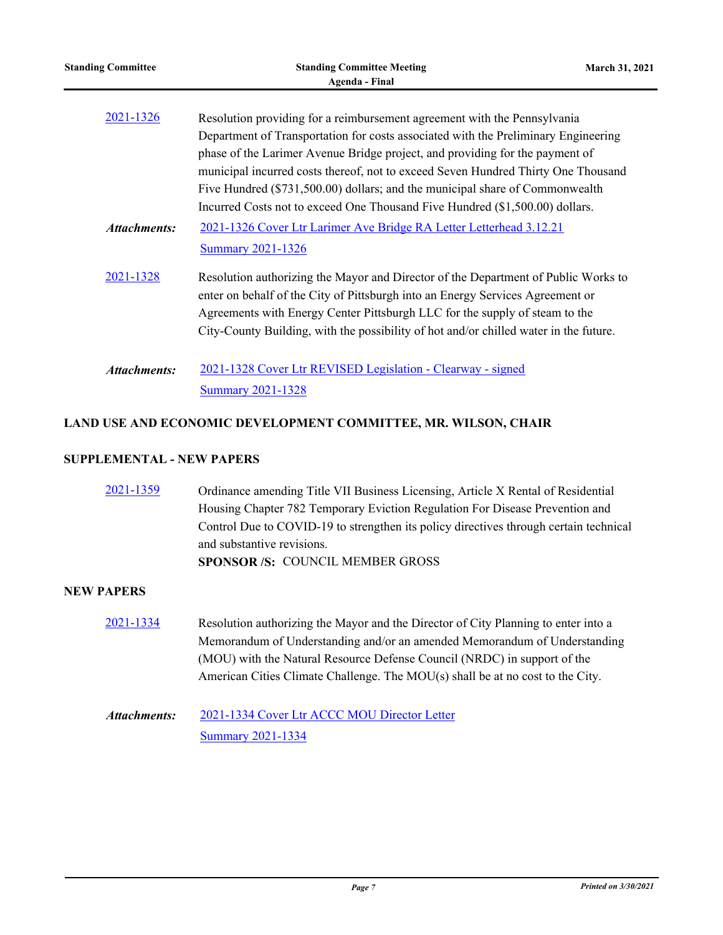| <b>Standing Committee</b> | <b>Standing Committee Meeting</b><br><b>Agenda</b> - Final                            | March 31, 2021 |
|---------------------------|---------------------------------------------------------------------------------------|----------------|
| 2021-1326                 | Resolution providing for a reimbursement agreement with the Pennsylvania              |                |
|                           | Department of Transportation for costs associated with the Preliminary Engineering    |                |
|                           | phase of the Larimer Avenue Bridge project, and providing for the payment of          |                |
|                           | municipal incurred costs thereof, not to exceed Seven Hundred Thirty One Thousand     |                |
|                           | Five Hundred (\$731,500.00) dollars; and the municipal share of Commonwealth          |                |
|                           | Incurred Costs not to exceed One Thousand Five Hundred (\$1,500.00) dollars.          |                |
| <b>Attachments:</b>       | 2021-1326 Cover Ltr Larimer Ave Bridge RA Letter Letterhead 3.12.21                   |                |
|                           | <b>Summary 2021-1326</b>                                                              |                |
| 2021-1328                 | Resolution authorizing the Mayor and Director of the Department of Public Works to    |                |
|                           | enter on behalf of the City of Pittsburgh into an Energy Services Agreement or        |                |
|                           | Agreements with Energy Center Pittsburgh LLC for the supply of steam to the           |                |
|                           | City-County Building, with the possibility of hot and/or chilled water in the future. |                |
| <b>Attachments:</b>       | 2021-1328 Cover Ltr REVISED Legislation - Clearway - signed                           |                |
|                           | <b>Summary 2021-1328</b>                                                              |                |
|                           | LAND USE AND ECONOMIC DEVELOPMENT COMMITTEE, MR. WILSON, CHAIR                        |                |
|                           |                                                                                       |                |

## **SUPPLEMENTAL - NEW PAPERS**

| 2021-1359         | Ordinance amending Title VII Business Licensing, Article X Rental of Residential      |
|-------------------|---------------------------------------------------------------------------------------|
|                   | Housing Chapter 782 Temporary Eviction Regulation For Disease Prevention and          |
|                   | Control Due to COVID-19 to strengthen its policy directives through certain technical |
|                   | and substantive revisions.                                                            |
|                   | SPONSOR /S: COUNCIL MEMBER GROSS                                                      |
| <b>NEW PAPERS</b> |                                                                                       |
| 2021-1334         | Resolution authorizing the Mayor and the Director of City Planning to enter into a    |

Memorandum of Understanding and/or an amended Memorandum of Understanding (MOU) with the Natural Resource Defense Council (NRDC) in support of the American Cities Climate Challenge. The MOU(s) shall be at no cost to the City.

#### [2021-1334 Cover Ltr ACCC MOU Director Letter](http://pittsburgh.legistar.com/gateway.aspx?M=F&ID=e4c6c69d-f5d8-4b3b-91d0-01b1f2b8331d.pdf) [Summary 2021-1334](http://pittsburgh.legistar.com/gateway.aspx?M=F&ID=ac00596d-4638-41d1-864c-85d69a0195ca.docx) *Attachments:*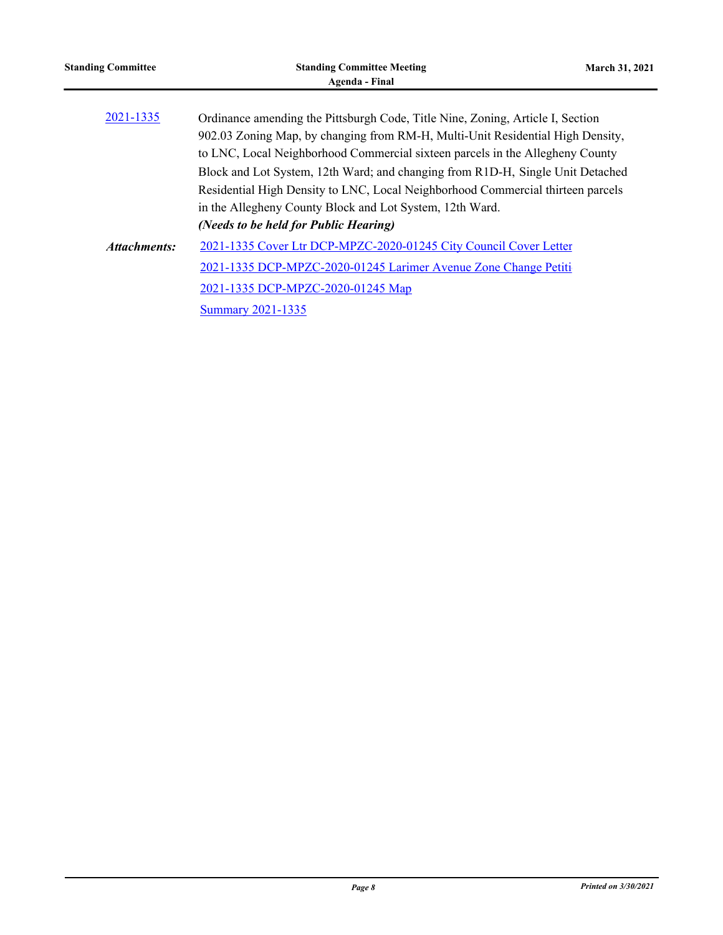| <b>Standing Committee</b> | <b>Standing Committee Meeting</b><br>Agenda - Final                             | <b>March 31, 2021</b> |
|---------------------------|---------------------------------------------------------------------------------|-----------------------|
|                           |                                                                                 |                       |
| 2021-1335                 | Ordinance amending the Pittsburgh Code, Title Nine, Zoning, Article I, Section  |                       |
|                           | 902.03 Zoning Map, by changing from RM-H, Multi-Unit Residential High Density,  |                       |
|                           | to LNC, Local Neighborhood Commercial sixteen parcels in the Allegheny County   |                       |
|                           | Block and Lot System, 12th Ward; and changing from R1D-H, Single Unit Detached  |                       |
|                           | Residential High Density to LNC, Local Neighborhood Commercial thirteen parcels |                       |
|                           | in the Allegheny County Block and Lot System, 12th Ward.                        |                       |
|                           | (Needs to be held for Public Hearing)                                           |                       |
| Attachments:              | 2021-1335 Cover Ltr DCP-MPZC-2020-01245 City Council Cover Letter               |                       |
|                           | 2021-1335 DCP-MPZC-2020-01245 Larimer Avenue Zone Change Petiti                 |                       |
|                           | 2021-1335 DCP-MPZC-2020-01245 Map                                               |                       |
|                           | <b>Summary 2021-1335</b>                                                        |                       |
|                           |                                                                                 |                       |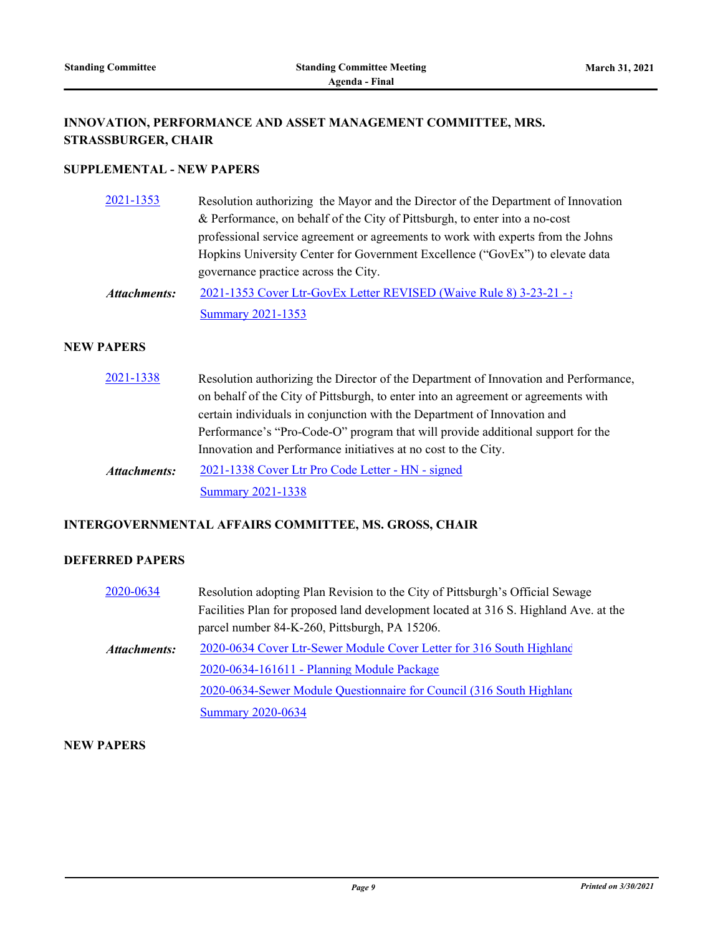## **INNOVATION, PERFORMANCE AND ASSET MANAGEMENT COMMITTEE, MRS. STRASSBURGER, CHAIR**

## **SUPPLEMENTAL - NEW PAPERS**

| 2021-1353    | Resolution authorizing the Mayor and the Director of the Department of Innovation |
|--------------|-----------------------------------------------------------------------------------|
|              | & Performance, on behalf of the City of Pittsburgh, to enter into a no-cost       |
|              | professional service agreement or agreements to work with experts from the Johns  |
|              | Hopkins University Center for Government Excellence ("GovEx") to elevate data     |
|              | governance practice across the City.                                              |
| Attachments: | 2021-1353 Cover Ltr-GovEx Letter REVISED (Waive Rule 8) 3-23-21 - a               |

**[Summary 2021-1353](http://pittsburgh.legistar.com/gateway.aspx?M=F&ID=1efb9c8c-1105-4548-a21d-77bf05b0b0d3.docx)** 

#### **NEW PAPERS**

| 2021-1338           | Resolution authorizing the Director of the Department of Innovation and Performance, |
|---------------------|--------------------------------------------------------------------------------------|
|                     | on behalf of the City of Pittsburgh, to enter into an agreement or agreements with   |
|                     | certain individuals in conjunction with the Department of Innovation and             |
|                     | Performance's "Pro-Code-O" program that will provide additional support for the      |
|                     | Innovation and Performance initiatives at no cost to the City.                       |
| <b>Attachments:</b> | 2021-1338 Cover Ltr Pro Code Letter - HN - signed                                    |
|                     | <b>Summary 2021-1338</b>                                                             |

## **INTERGOVERNMENTAL AFFAIRS COMMITTEE, MS. GROSS, CHAIR**

## **DEFERRED PAPERS**

| 2020-0634    | Resolution adopting Plan Revision to the City of Pittsburgh's Official Sewage        |
|--------------|--------------------------------------------------------------------------------------|
|              | Facilities Plan for proposed land development located at 316 S. Highland Ave. at the |
|              | parcel number 84-K-260, Pittsburgh, PA 15206.                                        |
| Attachments: | 2020-0634 Cover Ltr-Sewer Module Cover Letter for 316 South Highland                 |
|              | 2020-0634-161611 - Planning Module Package                                           |
|              | 2020-0634-Sewer Module Questionnaire for Council (316 South Highland                 |
|              | <b>Summary 2020-0634</b>                                                             |

#### **NEW PAPERS**